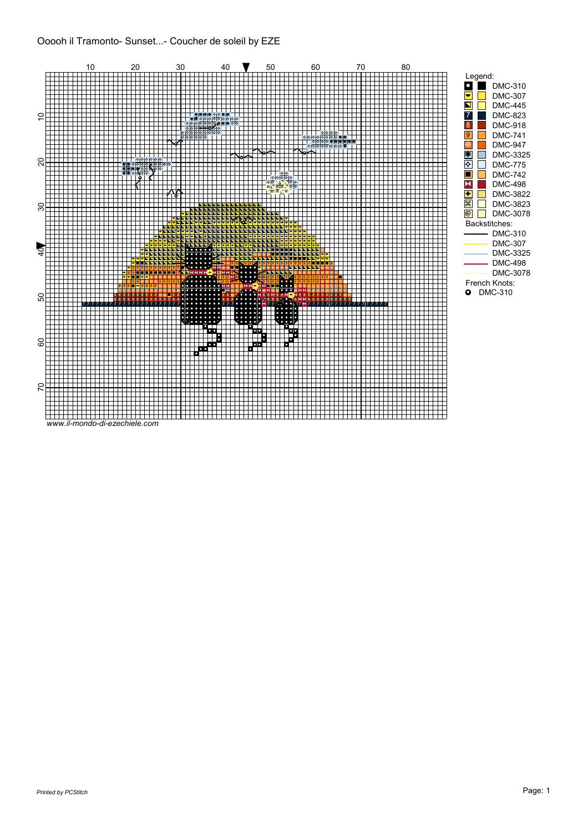Ooooh il Tramonto- Sunset...- Coucher de soleil by EZE